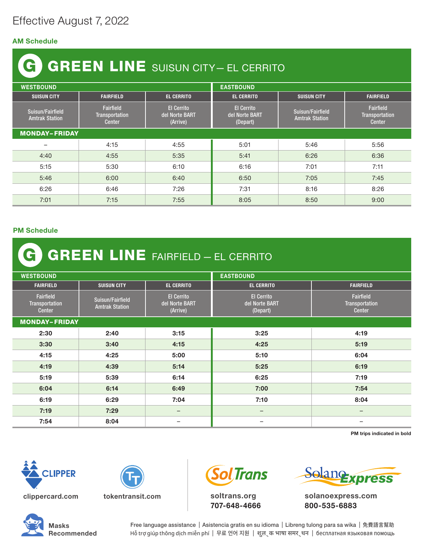## Effective August 7, 2022

## AM Schedule

## GREEN LINE SUISUN CITY— EL CERRITO G

| <b>WESTBOUND</b>                          |                                                            |                                                 | <b>EASTBOUND</b>                                |                                           |                                                     |  |  |
|-------------------------------------------|------------------------------------------------------------|-------------------------------------------------|-------------------------------------------------|-------------------------------------------|-----------------------------------------------------|--|--|
| <b>SUISUN CITY</b>                        | <b>FAIRFIELD</b>                                           | <b>EL CERRITO</b>                               | <b>EL CERRITO</b>                               | <b>SUISUN CITY</b>                        | <b>FAIRFIELD</b>                                    |  |  |
| Suisun/Fairfield<br><b>Amtrak Station</b> | <b>Fairfield</b><br><b>Transportation</b><br><b>Center</b> | <b>El Cerrito</b><br>del Norte BART<br>(Arrive) | <b>El Cerrito</b><br>del Norte BART<br>(Depart) | Suisun/Fairfield<br><b>Amtrak Station</b> | Fairfield<br><b>Transportation</b><br><b>Center</b> |  |  |
| <b>MONDAY-FRIDAY</b>                      |                                                            |                                                 |                                                 |                                           |                                                     |  |  |
| -                                         | 4:15                                                       | 4:55                                            | 5:01                                            | 5:46                                      | 5:56                                                |  |  |
| 4:40                                      | 4:55                                                       | 5:35                                            | 5:41                                            | 6:26                                      | 6:36                                                |  |  |
| 5:15                                      | 5:30                                                       | 6:10                                            | 6:16                                            | 7:01                                      | 7:11                                                |  |  |
| 5:46                                      | 6:00                                                       | 6:40                                            | 6:50                                            | 7:05                                      | 7:45                                                |  |  |
| 6:26                                      | 6:46                                                       | 7:26                                            | 7:31                                            | 8:16                                      | 8:26                                                |  |  |
| 7:01                                      | 7:15                                                       | 7:55                                            | 8:05                                            | 8:50                                      | 9:00                                                |  |  |

## PM Schedule

| <b>G GREEN LINE FAIRFIELD - EL CERRITO</b>   |                                           |                                                 |                                                 |                                              |  |  |  |
|----------------------------------------------|-------------------------------------------|-------------------------------------------------|-------------------------------------------------|----------------------------------------------|--|--|--|
| <b>WESTBOUND</b>                             |                                           |                                                 | <b>EASTBOUND</b>                                |                                              |  |  |  |
| <b>FAIRFIELD</b>                             | <b>SUISUN CITY</b>                        | <b>EL CERRITO</b>                               | <b>EL CERRITO</b>                               | <b>FAIRFIELD</b>                             |  |  |  |
| <b>Fairfield</b><br>Transportation<br>Center | Suisun/Fairfield<br><b>Amtrak Station</b> | <b>El Cerrito</b><br>del Norte BART<br>(Arrive) | <b>El Cerrito</b><br>del Norte BART<br>(Depart) | Fairfield<br>Transportation<br><b>Center</b> |  |  |  |
| <b>MONDAY-FRIDAY</b>                         |                                           |                                                 |                                                 |                                              |  |  |  |
| 2:30                                         | 2:40                                      | 3:15                                            | 3:25                                            | 4:19                                         |  |  |  |
| 3:30                                         | 3:40                                      | 4:15                                            | 4:25                                            | 5:19                                         |  |  |  |
| 4:15                                         | 4:25                                      | 5:00                                            | 5:10                                            | 6:04                                         |  |  |  |
| 4:19                                         | 4:39                                      | 5:14                                            | 5:25                                            | 6:19                                         |  |  |  |
| 5:19                                         | 5:39                                      | 6:14                                            | 6:25                                            | 7:19                                         |  |  |  |
| 6:04                                         | 6:14                                      | 6:49                                            | 7:00                                            | 7:54                                         |  |  |  |
| 6:19                                         | 6:29                                      | 7:04                                            | 7:10                                            | 8:04                                         |  |  |  |
| 7:19                                         | 7:29                                      | $\overline{\phantom{m}}$                        |                                                 | $\overline{\phantom{0}}$                     |  |  |  |
| 7:54                                         | 8:04                                      | —                                               |                                                 | $\overline{\phantom{0}}$                     |  |  |  |

PM trips indicated in bold







soltrans.org 707-648-4666



solanoexpress.com 800-535-6883



Free language assistance | Asistencia gratis en su idioma | Libreng tulong para sa wika | 免費語言幫助 Hỗ trợ giúp thông dịch miễn phí | 무료 언어 지원 | शुल ् क भाषा समर ् थन | бесплатная языковая помощь